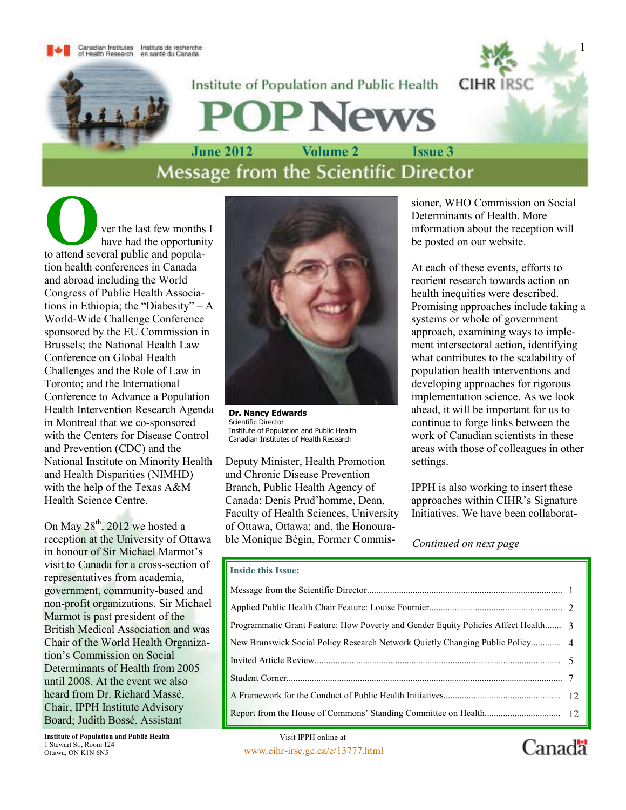Canadian Institutes Instituts de recherche<br>of Health Research en santé du Canada



**News** 

Institute of Population and Public Health

June 2012 Volume 2 Issue 3<br>Message from the Scientific Director

ver the last few months I<br>have had the opportunity<br>to attend several public and populahave had the opportunity tion health conferences in Canada and abroad including the World Congress of Public Health Associations in Ethiopia; the "Diabesity" – A World-Wide Challenge Conference sponsored by the EU Commission in Brussels; the National Health Law Conference on Global Health Challenges and the Role of Law in Toronto; and the International Conference to Advance a Population Health Intervention Research Agenda in Montreal that we co-sponsored with the Centers for Disease Control and Prevention (CDC) and the National Institute on Minority Health and Health Disparities (NIMHD) with the help of the Texas A&M Health Science Centre.

On May  $28^{th}$ , 2012 we hosted a reception at the University of Ottawa in honour of Sir Michael Marmot's visit to Canada for a cross-section of representatives from academia, government, community-based and non-profit organizations. Sir Michael Marmot is past president of the British Medical Association and was Chair of the World Health Organization's Commission on Social Determinants of Health from 2005 until 2008. At the event we also heard from Dr. Richard Massé, Chair, IPPH Institute Advisory Board; Judith Bossé, Assistant

Institute of Population and Public Health 1 Stewart St., Room 124<br>Ottawa, ON K1N 6N5



Dr. Nancy Edwards Scientific Director Institute of Population and Public Health Canadian Institutes of Health Research

Deputy Minister, Health Promotion and Chronic Disease Prevention Branch, Public Health Agency of Canada; Denis Prud'homme, Dean, Faculty of Health Sciences, University of Ottawa, Ottawa; and, the Honourable Monique Bégin, Former Commissioner, WHO Commission on Social Determinants of Health. More information about the reception will be posted on our website.

At each of these events, efforts to reorient research towards action on health inequities were described. Promising approaches include taking a systems or whole of government approach, examining ways to implement intersectoral action, identifying what contributes to the scalability of population health interventions and developing approaches for rigorous implementation science. As we look ahead, it will be important for us to continue to forge links between the work of Canadian scientists in these areas with those of colleagues in other settings.

IPPH is also working to insert these approaches within CIHR's Signature Initiatives. We have been collaborat-

Continued on next page

#### Inside this Issue:

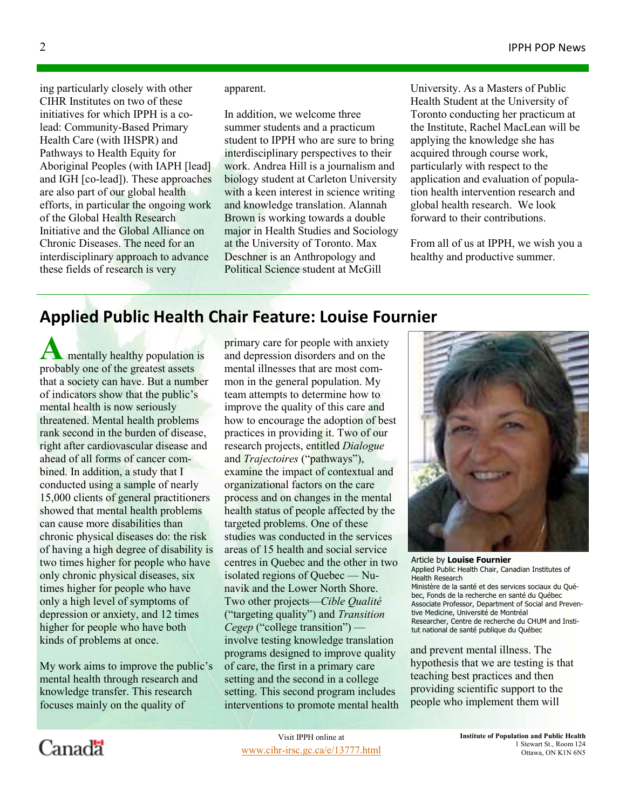ing particularly closely with other CIHR Institutes on two of these initiatives for which IPPH is a colead: Community-Based Primary Health Care (with IHSPR) and Pathways to Health Equity for Aboriginal Peoples (with IAPH [lead] and IGH [co-lead]). These approaches are also part of our global health efforts, in particular the ongoing work of the Global Health Research Initiative and the Global Alliance on Chronic Diseases. The need for an interdisciplinary approach to advance these fields of research is very

apparent.

In addition, we welcome three summer students and a practicum student to IPPH who are sure to bring interdisciplinary perspectives to their work. Andrea Hill is a journalism and biology student at Carleton University with a keen interest in science writing and knowledge translation. Alannah Brown is working towards a double major in Health Studies and Sociology at the University of Toronto. Max Deschner is an Anthropology and Political Science student at McGill

University. As a Masters of Public Health Student at the University of Toronto conducting her practicum at the Institute, Rachel MacLean will be applying the knowledge she has acquired through course work, particularly with respect to the application and evaluation of population health intervention research and global health research. We look forward to their contributions.

From all of us at IPPH, we wish you a healthy and productive summer.

### Applied Public Health Chair Feature: Louise Fournier

 $\blacksquare$  mentally healthy population is probably one of the greatest assets that a society can have. But a number of indicators show that the public's mental health is now seriously threatened. Mental health problems rank second in the burden of disease, right after cardiovascular disease and ahead of all forms of cancer combined. In addition, a study that I conducted using a sample of nearly 15,000 clients of general practitioners showed that mental health problems can cause more disabilities than chronic physical diseases do: the risk of having a high degree of disability is two times higher for people who have only chronic physical diseases, six times higher for people who have only a high level of symptoms of depression or anxiety, and 12 times higher for people who have both kinds of problems at once.

My work aims to improve the public's mental health through research and knowledge transfer. This research focuses mainly on the quality of

primary care for people with anxiety and depression disorders and on the mental illnesses that are most common in the general population. My team attempts to determine how to improve the quality of this care and how to encourage the adoption of best practices in providing it. Two of our research projects, entitled Dialogue and *Trajectoires* ("pathways"), examine the impact of contextual and organizational factors on the care process and on changes in the mental health status of people affected by the targeted problems. One of these studies was conducted in the services areas of 15 health and social service centres in Quebec and the other in two isolated regions of Quebec — Nunavik and the Lower North Shore. Two other projects—Cible Qualité ("targeting quality") and Transition Cegep ("college transition") involve testing knowledge translation programs designed to improve quality of care, the first in a primary care setting and the second in a college setting. This second program includes interventions to promote mental health



Article by Louise Fournier Applied Public Health Chair, Canadian Institutes of Health Research Ministère de la santé et des services sociaux du Québec, Fonds de la recherche en santé du Québec Associate Professor, Department of Social and Preventive Medicine, Université de Montréal Researcher, Centre de recherche du CHUM and Institut national de santé publique du Québec

and prevent mental illness. The hypothesis that we are testing is that teaching best practices and then providing scientific support to the people who implement them will

# Canadä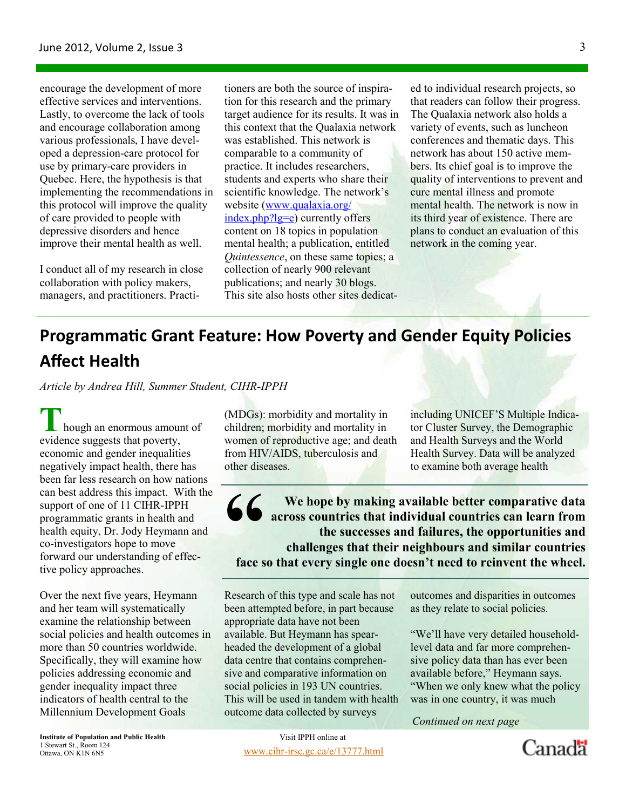encourage the development of more effective services and interventions. Lastly, to overcome the lack of tools and encourage collaboration among various professionals, I have developed a depression-care protocol for use by primary-care providers in Quebec. Here, the hypothesis is that implementing the recommendations in this protocol will improve the quality of care provided to people with depressive disorders and hence improve their mental health as well.

I conduct all of my research in close collaboration with policy makers, managers, and practitioners. Practitioners are both the source of inspiration for this research and the primary target audience for its results. It was in this context that the Qualaxia network was established. This network is comparable to a community of practice. It includes researchers, students and experts who share their scientific knowledge. The network's website (www.qualaxia.org/ index.php?lg=e) currently offers content on 18 topics in population mental health; a publication, entitled *Quintessence*, on these same topics; a collection of nearly 900 relevant publications; and nearly 30 blogs. This site also hosts other sites dedicat-

ed to individual research projects, so that readers can follow their progress. The Qualaxia network also holds a variety of events, such as luncheon conferences and thematic days. This network has about 150 active members. Its chief goal is to improve the quality of interventions to prevent and cure mental illness and promote mental health. The network is now in its third year of existence. There are plans to conduct an evaluation of this network in the coming year.

# Programmatic Grant Feature: How Poverty and Gender Equity Policies Affect Health

Article by Andrea Hill, Summer Student, CIHR-IPPH

 $\mathsf{L}\,$  hough an enormous amount of evidence suggests that poverty, economic and gender inequalities negatively impact health, there has been far less research on how nations can best address this impact. With the support of one of 11 CIHR-IPPH programmatic grants in health and health equity, Dr. Jody Heymann and co-investigators hope to move forward our understanding of effective policy approaches.

Over the next five years, Heymann and her team will systematically examine the relationship between social policies and health outcomes in more than 50 countries worldwide. Specifically, they will examine how policies addressing economic and gender inequality impact three indicators of health central to the Millennium Development Goals

(MDGs): morbidity and mortality in children; morbidity and mortality in women of reproductive age; and death from HIV/AIDS, tuberculosis and other diseases.

including UNICEF'S Multiple Indicator Cluster Survey, the Demographic and Health Surveys and the World Health Survey. Data will be analyzed to examine both average health

We hope by making available better comparative data<br>across countries that individual countries can learn from<br>the successes and failures, the opportunities and<br>challenges that their neighbours and similar countries<br>face so across countries that individual countries can learn from the successes and failures, the opportunities and challenges that their neighbours and similar countries face so that every single one doesn't need to reinvent the wheel.

Research of this type and scale has not been attempted before, in part because appropriate data have not been available. But Heymann has spearheaded the development of a global data centre that contains comprehensive and comparative information on social policies in 193 UN countries. This will be used in tandem with health outcome data collected by surveys

> www.cihr-irsc.gc.ca/e/13777.html Visit IPPH online at

outcomes and disparities in outcomes as they relate to social policies.

"We'll have very detailed householdlevel data and far more comprehensive policy data than has ever been available before," Heymann says. "When we only knew what the policy was in one country, it was much

Continued on next page

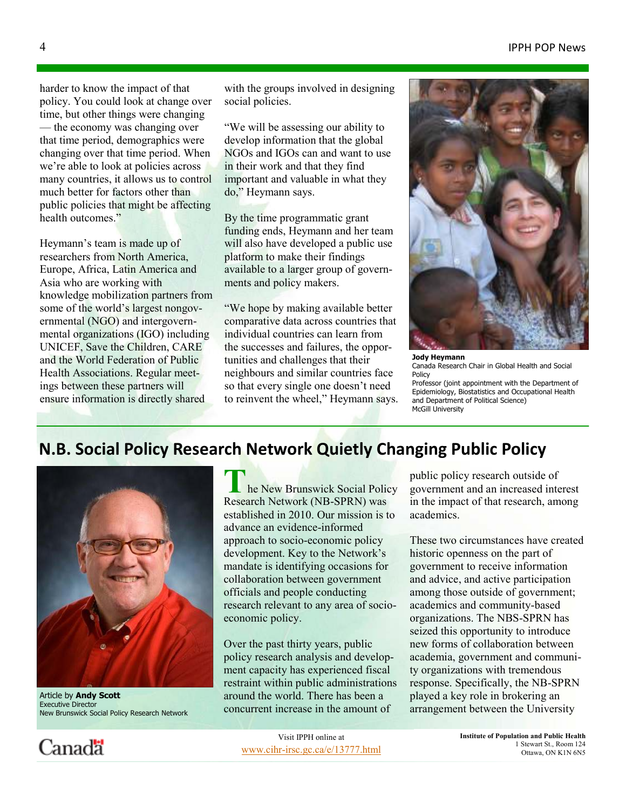#### IPPH POP News

harder to know the impact of that policy. You could look at change over time, but other things were changing — the economy was changing over that time period, demographics were changing over that time period. When we're able to look at policies across many countries, it allows us to control much better for factors other than public policies that might be affecting health outcomes."

Heymann's team is made up of researchers from North America, Europe, Africa, Latin America and Asia who are working with knowledge mobilization partners from some of the world's largest nongovernmental (NGO) and intergovernmental organizations (IGO) including UNICEF, Save the Children, CARE and the World Federation of Public Health Associations. Regular meetings between these partners will ensure information is directly shared

with the groups involved in designing social policies.

"We will be assessing our ability to develop information that the global NGOs and IGOs can and want to use in their work and that they find important and valuable in what they do," Heymann says.

By the time programmatic grant funding ends, Heymann and her team will also have developed a public use platform to make their findings available to a larger group of governments and policy makers.

"We hope by making available better comparative data across countries that individual countries can learn from the successes and failures, the opportunities and challenges that their neighbours and similar countries face so that every single one doesn't need to reinvent the wheel," Heymann says.



Jody Heymann Canada Research Chair in Global Health and Social Policy Professor (joint appointment with the Department of Epidemiology, Biostatistics and Occupational Health and Department of Political Science) McGill University

### N.B. Social Policy Research Network Quietly Changing Public Policy



Article by **Andy Scott** Executive Director New Brunswick Social Policy Research Network

he New Brunswick Social Policy Research Network (NB-SPRN) was established in 2010. Our mission is to advance an evidence-informed approach to socio-economic policy development. Key to the Network's mandate is identifying occasions for collaboration between government officials and people conducting research relevant to any area of socioeconomic policy.

Over the past thirty years, public policy research analysis and development capacity has experienced fiscal restraint within public administrations around the world. There has been a concurrent increase in the amount of

public policy research outside of government and an increased interest in the impact of that research, among academics.

These two circumstances have created historic openness on the part of government to receive information and advice, and active participation among those outside of government; academics and community-based organizations. The NBS-SPRN has seized this opportunity to introduce new forms of collaboration between academia, government and community organizations with tremendous response. Specifically, the NB-SPRN played a key role in brokering an arrangement between the University

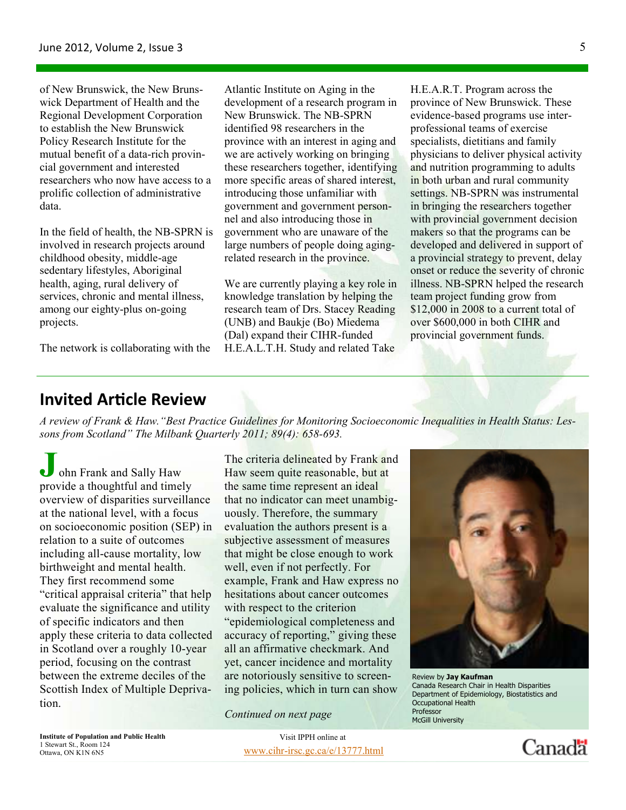of New Brunswick, the New Brunswick Department of Health and the Regional Development Corporation to establish the New Brunswick Policy Research Institute for the mutual benefit of a data-rich provincial government and interested researchers who now have access to a prolific collection of administrative data.

In the field of health, the NB-SPRN is involved in research projects around childhood obesity, middle-age sedentary lifestyles, Aboriginal health, aging, rural delivery of services, chronic and mental illness, among our eighty-plus on-going projects.

The network is collaborating with the

Atlantic Institute on Aging in the development of a research program in New Brunswick. The NB-SPRN identified 98 researchers in the province with an interest in aging and we are actively working on bringing these researchers together, identifying more specific areas of shared interest, introducing those unfamiliar with government and government personnel and also introducing those in government who are unaware of the large numbers of people doing agingrelated research in the province.

We are currently playing a key role in knowledge translation by helping the research team of Drs. Stacey Reading (UNB) and Baukje (Bo) Miedema (Dal) expand their CIHR-funded H.E.A.L.T.H. Study and related Take

H.E.A.R.T. Program across the province of New Brunswick. These evidence-based programs use interprofessional teams of exercise specialists, dietitians and family physicians to deliver physical activity and nutrition programming to adults in both urban and rural community settings. NB-SPRN was instrumental in bringing the researchers together with provincial government decision makers so that the programs can be developed and delivered in support of a provincial strategy to prevent, delay onset or reduce the severity of chronic illness. NB-SPRN helped the research team project funding grow from \$12,000 in 2008 to a current total of over \$600,000 in both CIHR and provincial government funds.

### **Invited Article Review**

A review of Frank & Haw. "Best Practice Guidelines for Monitoring Socioeconomic Inequalities in Health Status: Lessons from Scotland" The Milbank Quarterly 2011; 89(4): 658-693.

ohn Frank and Sally Haw provide a thoughtful and timely overview of disparities surveillance at the national level, with a focus on socioeconomic position (SEP) in relation to a suite of outcomes including all-cause mortality, low birthweight and mental health. They first recommend some "critical appraisal criteria" that help evaluate the significance and utility of specific indicators and then apply these criteria to data collected in Scotland over a roughly 10-year period, focusing on the contrast between the extreme deciles of the Scottish Index of Multiple Deprivation.

The criteria delineated by Frank and Haw seem quite reasonable, but at the same time represent an ideal that no indicator can meet unambiguously. Therefore, the summary evaluation the authors present is a subjective assessment of measures that might be close enough to work well, even if not perfectly. For example, Frank and Haw express no hesitations about cancer outcomes with respect to the criterion "epidemiological completeness and accuracy of reporting," giving these all an affirmative checkmark. And yet, cancer incidence and mortality are notoriously sensitive to screening policies, which in turn can show

Continued on next page



Review by **Jay Kaufman** Canada Research Chair in Health Disparities Department of Epidemiology, Biostatistics and Occupational Health **Professor** McGill University

Institute of Population and Public Health 1 Stewart St., Room 124

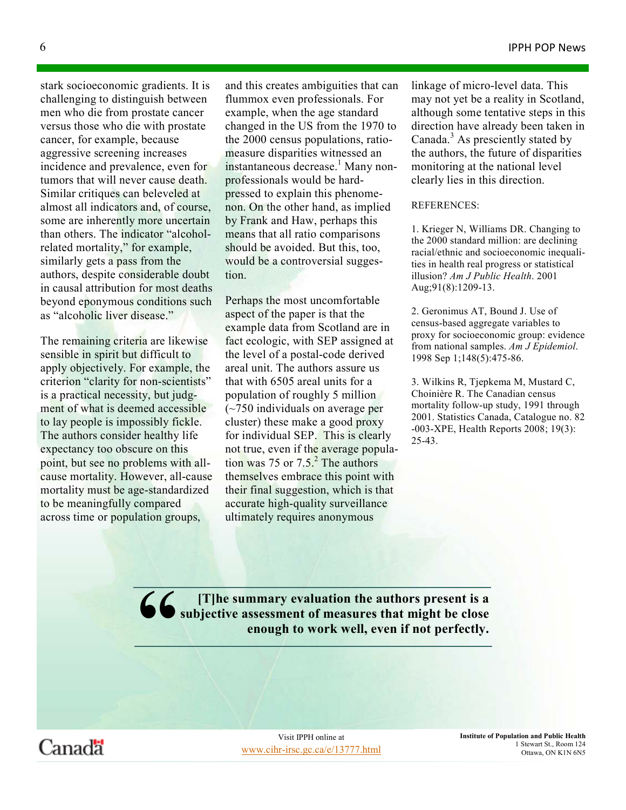stark socioeconomic gradients. It is challenging to distinguish between men who die from prostate cancer versus those who die with prostate cancer, for example, because aggressive screening increases incidence and prevalence, even for tumors that will never cause death. Similar critiques can beleveled at almost all indicators and, of course, some are inherently more uncertain than others. The indicator "alcoholrelated mortality," for example, similarly gets a pass from the authors, despite considerable doubt in causal attribution for most deaths beyond eponymous conditions such as "alcoholic liver disease."

The remaining criteria are likewise sensible in spirit but difficult to apply objectively. For example, the criterion "clarity for non-scientists" is a practical necessity, but judgment of what is deemed accessible to lay people is impossibly fickle. The authors consider healthy life expectancy too obscure on this point, but see no problems with allcause mortality. However, all-cause mortality must be age-standardized to be meaningfully compared across time or population groups,

and this creates ambiguities that can flummox even professionals. For example, when the age standard changed in the US from the 1970 to the 2000 census populations, ratiomeasure disparities witnessed an instantaneous decrease.<sup>1</sup> Many nonprofessionals would be hardpressed to explain this phenomenon. On the other hand, as implied by Frank and Haw, perhaps this means that all ratio comparisons should be avoided. But this, too, would be a controversial suggestion.

Perhaps the most uncomfortable aspect of the paper is that the example data from Scotland are in fact ecologic, with SEP assigned at the level of a postal-code derived areal unit. The authors assure us that with 6505 areal units for a population of roughly 5 million (~750 individuals on average per cluster) these make a good proxy for individual SEP. This is clearly not true, even if the average population was 75 or  $7.5<sup>2</sup>$ . The authors themselves embrace this point with their final suggestion, which is that accurate high-quality surveillance ultimately requires anonymous

linkage of micro-level data. This may not yet be a reality in Scotland, although some tentative steps in this direction have already been taken in Canada.<sup>3</sup> As presciently stated by the authors, the future of disparities monitoring at the national level clearly lies in this direction.

#### REFERENCES:

1. Krieger N, Williams DR. Changing to the 2000 standard million: are declining racial/ethnic and socioeconomic inequalities in health real progress or statistical illusion? Am J Public Health. 2001 Aug;91(8):1209-13.

2. Geronimus AT, Bound J. Use of census-based aggregate variables to proxy for socioeconomic group: evidence from national samples. Am J Epidemiol. 1998 Sep 1;148(5):475-86.

3. Wilkins R, Tjepkema M, Mustard C, Choinière R. The Canadian census mortality follow-up study, 1991 through 2001. Statistics Canada, Catalogue no. 82 -003-XPE, Health Reports 2008; 19(3): 25-43.

66 [T]he summary evaluation the authors present is a<br>enough to work well, even if not perfectly. subjective assessment of measures that might be close enough to work well, even if not perfectly.

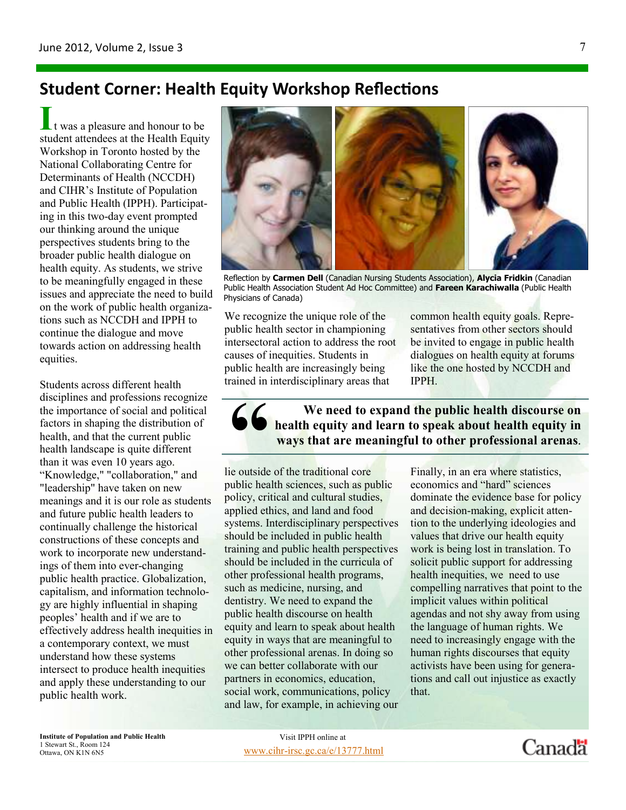## **Student Corner: Health Equity Workshop Reflections**

 $\iota$  t was a pleasure and honour to be student attendees at the Health Equity Workshop in Toronto hosted by the National Collaborating Centre for Determinants of Health (NCCDH) and CIHR's Institute of Population and Public Health (IPPH). Participating in this two-day event prompted our thinking around the unique perspectives students bring to the broader public health dialogue on health equity. As students, we strive to be meaningfully engaged in these issues and appreciate the need to build on the work of public health organizations such as NCCDH and IPPH to continue the dialogue and move towards action on addressing health equities.

Students across different health disciplines and professions recognize the importance of social and political factors in shaping the distribution of health, and that the current public health landscape is quite different than it was even 10 years ago. "Knowledge," "collaboration," and "leadership" have taken on new meanings and it is our role as students and future public health leaders to continually challenge the historical constructions of these concepts and work to incorporate new understandings of them into ever-changing public health practice. Globalization, capitalism, and information technology are highly influential in shaping peoples' health and if we are to effectively address health inequities in a contemporary context, we must understand how these systems intersect to produce health inequities and apply these understanding to our public health work.



Reflection by Carmen Dell (Canadian Nursing Students Association), Alycia Fridkin (Canadian Public Health Association Student Ad Hoc Committee) and Fareen Karachiwalla (Public Health Physicians of Canada)

We recognize the unique role of the public health sector in championing intersectoral action to address the root causes of inequities. Students in public health are increasingly being trained in interdisciplinary areas that

common health equity goals. Representatives from other sectors should be invited to engage in public health dialogues on health equity at forums like the one hosted by NCCDH and IPPH.

G bealth equity and<br>ways that are meant-<br>lie outside of the traditional core We need to expand the public health discourse on health equity and learn to speak about health equity in ways that are meaningful to other professional arenas.

public health sciences, such as public policy, critical and cultural studies, applied ethics, and land and food systems. Interdisciplinary perspectives should be included in public health training and public health perspectives should be included in the curricula of other professional health programs, such as medicine, nursing, and dentistry. We need to expand the public health discourse on health equity and learn to speak about health equity in ways that are meaningful to other professional arenas. In doing so we can better collaborate with our partners in economics, education, social work, communications, policy and law, for example, in achieving our Finally, in an era where statistics, economics and "hard" sciences dominate the evidence base for policy and decision-making, explicit attention to the underlying ideologies and values that drive our health equity work is being lost in translation. To solicit public support for addressing health inequities, we need to use compelling narratives that point to the implicit values within political agendas and not shy away from using the language of human rights. We need to increasingly engage with the human rights discourses that equity activists have been using for generations and call out injustice as exactly that.

Institute of Population and Public Health 1 Stewart St., Room 124<br>Ottawa, ON K1N 6N5

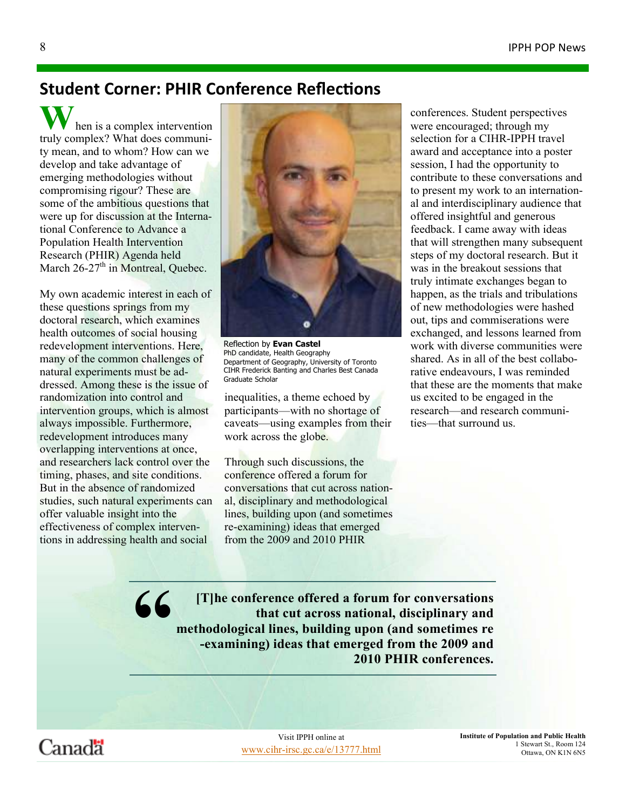### **Student Corner: PHIR Conference Reflections**

hen is a complex intervention truly complex? What does community mean, and to whom? How can we develop and take advantage of emerging methodologies without compromising rigour? These are some of the ambitious questions that were up for discussion at the International Conference to Advance a Population Health Intervention Research (PHIR) Agenda held March  $26-27<sup>th</sup>$  in Montreal, Ouebec.

My own academic interest in each of these questions springs from my doctoral research, which examines health outcomes of social housing redevelopment interventions. Here, many of the common challenges of natural experiments must be addressed. Among these is the issue of randomization into control and intervention groups, which is almost always impossible. Furthermore, redevelopment introduces many overlapping interventions at once, and researchers lack control over the timing, phases, and site conditions. But in the absence of randomized studies, such natural experiments can offer valuable insight into the effectiveness of complex interventions in addressing health and social



Reflection by Evan Castel PhD candidate, Health Geography Department of Geography, University of Toronto CIHR Frederick Banting and Charles Best Canada Graduate Scholar

inequalities, a theme echoed by participants—with no shortage of caveats—using examples from their work across the globe.

Through such discussions, the conference offered a forum for conversations that cut across national, disciplinary and methodological lines, building upon (and sometimes re-examining) ideas that emerged from the 2009 and 2010 PHIR

conferences. Student perspectives were encouraged; through my selection for a CIHR-IPPH travel award and acceptance into a poster session, I had the opportunity to contribute to these conversations and to present my work to an international and interdisciplinary audience that offered insightful and generous feedback. I came away with ideas that will strengthen many subsequent steps of my doctoral research. But it was in the breakout sessions that truly intimate exchanges began to happen, as the trials and tribulations of new methodologies were hashed out, tips and commiserations were exchanged, and lessons learned from work with diverse communities were shared. As in all of the best collaborative endeavours, I was reminded that these are the moments that make us excited to be engaged in the research—and research communities—that surround us.

" [T]he conference offered a forum for conversations that cut across national, disciplinary and methodological lines, building upon (and sometimes re -examining) ideas that emerged from the 2009 and 2010 PHIR conferences.



www.cihr-irsc.gc.ca/e/13777.html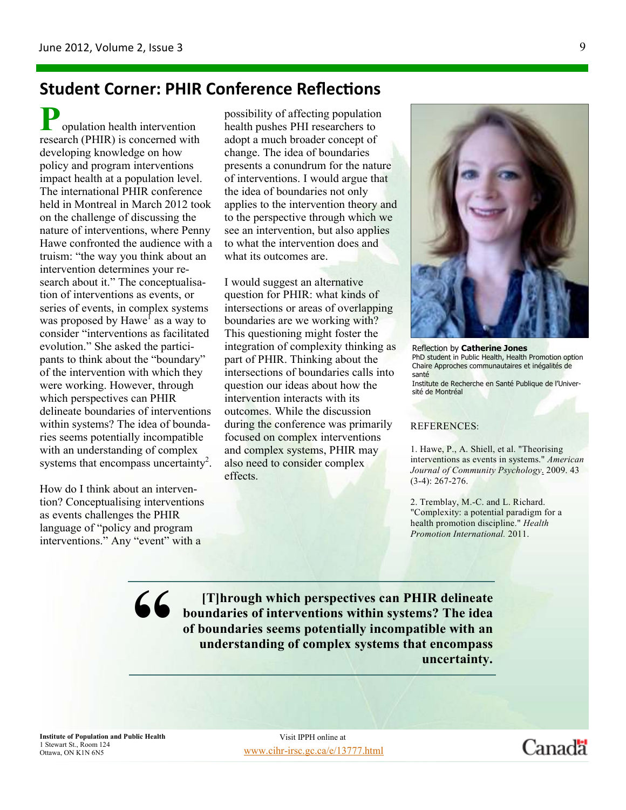## **Student Corner: PHIR Conference Reflections**

opulation health intervention research (PHIR) is concerned with developing knowledge on how policy and program interventions impact health at a population level. The international PHIR conference held in Montreal in March 2012 took on the challenge of discussing the nature of interventions, where Penny Hawe confronted the audience with a truism: "the way you think about an intervention determines your research about it." The conceptualisation of interventions as events, or series of events, in complex systems was proposed by Hawe<sup>I</sup> as a way to consider "interventions as facilitated evolution." She asked the participants to think about the "boundary" of the intervention with which they were working. However, through which perspectives can PHIR delineate boundaries of interventions within systems? The idea of boundaries seems potentially incompatible with an understanding of complex systems that encompass uncertainty<sup>2</sup>.

How do I think about an intervention? Conceptualising interventions as events challenges the PHIR language of "policy and program interventions." Any "event" with a

possibility of affecting population health pushes PHI researchers to adopt a much broader concept of change. The idea of boundaries presents a conundrum for the nature of interventions. I would argue that the idea of boundaries not only applies to the intervention theory and to the perspective through which we see an intervention, but also applies to what the intervention does and what its outcomes are.

I would suggest an alternative question for PHIR: what kinds of intersections or areas of overlapping boundaries are we working with? This questioning might foster the integration of complexity thinking as part of PHIR. Thinking about the intersections of boundaries calls into question our ideas about how the intervention interacts with its outcomes. While the discussion during the conference was primarily focused on complex interventions and complex systems, PHIR may also need to consider complex effects.



Reflection by Catherine Jones PhD student in Public Health, Health Promotion option Chaire Approches communautaires et inégalités de santé Institute de Recherche en Santé Publique de l'Université de Montréal

#### REFERENCES:

1. Hawe, P., A. Shiell, et al. "Theorising interventions as events in systems." American Journal of Community Psychology. 2009. 43 (3-4): 267-276.

2. Tremblay, M.-C. and L. Richard. "Complexity: a potential paradigm for a health promotion discipline." Health Promotion International. 2011.

66 [T]hrough which perspectives can PHIR delineate<br>boundaries of interventions within systems? The idea<br>of boundaries seems potentially incompatible with an<br>understanding of complex systems that encompass<br>uncertainty. boundaries of interventions within systems? The idea of boundaries seems potentially incompatible with an understanding of complex systems that encompass uncertainty.

Institute of Population and Public Health 1 Stewart St., Room 124<br>Ottawa, ON K1N 6N5

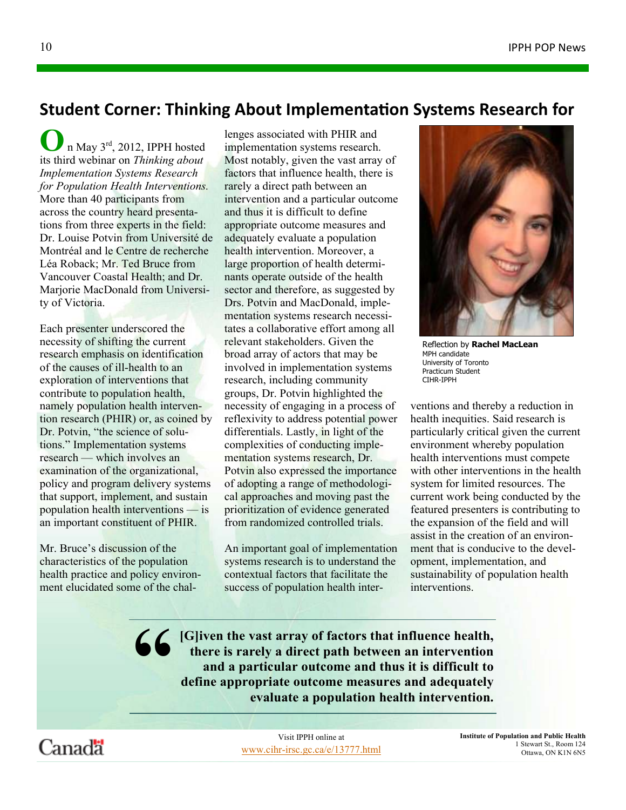### Student Corner: Thinking About Implementation Systems Research for

 $\int$  n May 3<sup>rd</sup>, 2012, IPPH hosted its third webinar on Thinking about Implementation Systems Research for Population Health Interventions. More than 40 participants from across the country heard presentations from three experts in the field: Dr. Louise Potvin from Université de Montréal and le Centre de recherche Léa Roback; Mr. Ted Bruce from Vancouver Coastal Health; and Dr. Marjorie MacDonald from University of Victoria.

Each presenter underscored the necessity of shifting the current research emphasis on identification of the causes of ill-health to an exploration of interventions that contribute to population health, namely population health intervention research (PHIR) or, as coined by Dr. Potvin, "the science of solutions." Implementation systems research — which involves an examination of the organizational, policy and program delivery systems that support, implement, and sustain population health interventions — is an important constituent of PHIR.

Mr. Bruce's discussion of the characteristics of the population health practice and policy environment elucidated some of the challenges associated with PHIR and implementation systems research. Most notably, given the vast array of factors that influence health, there is rarely a direct path between an intervention and a particular outcome and thus it is difficult to define appropriate outcome measures and adequately evaluate a population health intervention. Moreover, a large proportion of health determinants operate outside of the health sector and therefore, as suggested by Drs. Potvin and MacDonald, implementation systems research necessitates a collaborative effort among all relevant stakeholders. Given the broad array of actors that may be involved in implementation systems research, including community groups, Dr. Potvin highlighted the necessity of engaging in a process of reflexivity to address potential power differentials. Lastly, in light of the complexities of conducting implementation systems research, Dr. Potvin also expressed the importance of adopting a range of methodological approaches and moving past the prioritization of evidence generated from randomized controlled trials.

An important goal of implementation systems research is to understand the contextual factors that facilitate the success of population health inter-



Reflection by Rachel MacLean MPH candidate University of Toronto Practicum Student CIHR-IPPH

ventions and thereby a reduction in health inequities. Said research is particularly critical given the current environment whereby population health interventions must compete with other interventions in the health system for limited resources. The current work being conducted by the featured presenters is contributing to the expansion of the field and will assist in the creation of an environment that is conducive to the development, implementation, and sustainability of population health interventions.

**66** [G]iven the vast array of factors that influence health, there is rarely a direct path between an intervention and a particular outcome and thus it is difficult to define appropriate outcome measures and adequately ev there is rarely a direct path between an intervention and a particular outcome and thus it is difficult to define appropriate outcome measures and adequately evaluate a population health intervention.

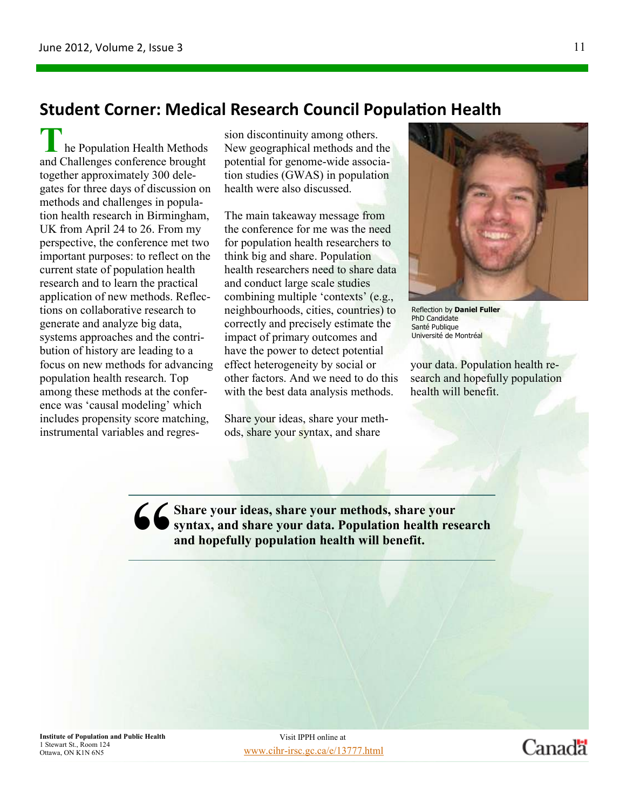### Student Corner: Medical Research Council Population Health

he Population Health Methods and Challenges conference brought together approximately 300 delegates for three days of discussion on methods and challenges in population health research in Birmingham, UK from April 24 to 26. From my perspective, the conference met two important purposes: to reflect on the current state of population health research and to learn the practical application of new methods. Reflections on collaborative research to generate and analyze big data, systems approaches and the contribution of history are leading to a focus on new methods for advancing population health research. Top among these methods at the conference was 'causal modeling' which includes propensity score matching, instrumental variables and regression discontinuity among others. New geographical methods and the potential for genome-wide association studies (GWAS) in population health were also discussed.

The main takeaway message from the conference for me was the need for population health researchers to think big and share. Population health researchers need to share data and conduct large scale studies combining multiple 'contexts' (e.g., neighbourhoods, cities, countries) to correctly and precisely estimate the impact of primary outcomes and have the power to detect potential effect heterogeneity by social or other factors. And we need to do this with the best data analysis methods.

Share your ideas, share your methods, share your syntax, and share



Reflection by Daniel Fuller PhD Candidate Santé Publique Université de Montréal

your data. Population health research and hopefully population health will benefit.

Canadä

66 Share your ideas, share your methods, share your<br>syntax, and share your data. Population health res<br>and hopefully population health will benefit. syntax, and share your data. Population health research and hopefully population health will benefit.

Institute of Population and Public Health 1 Stewart St., Room 124